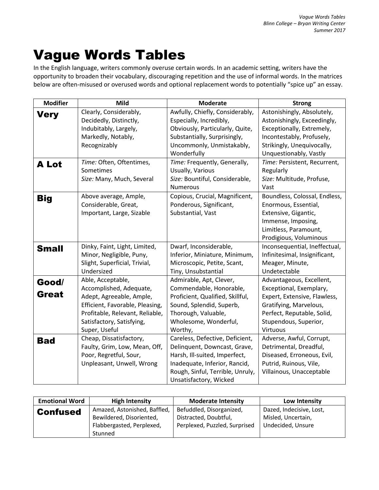## Vague Words Tables

In the English language, writers commonly overuse certain words. In an academic setting, writers have the opportunity to broaden their vocabulary, discouraging repetition and the use of informal words. In the matrices below are often-misused or overused words and optional replacement words to potentially "spice up" an essay.

| <b>Modifier</b> | <b>Mild</b>                                               | <b>Moderate</b>                                            | <b>Strong</b>                                             |
|-----------------|-----------------------------------------------------------|------------------------------------------------------------|-----------------------------------------------------------|
| Very            | Clearly, Considerably,<br>Decidedly, Distinctly,          | Awfully, Chiefly, Considerably,<br>Especially, Incredibly, | Astonishingly, Absolutely,<br>Astonishingly, Exceedingly, |
|                 | Indubitably, Largely,                                     | Obviously, Particularly, Quite,                            | Exceptionally, Extremely,                                 |
|                 | Markedly, Notably,                                        | Substantially, Surprisingly,                               | Incontestably, Profusely,                                 |
|                 | Recognizably                                              | Uncommonly, Unmistakably,                                  | Strikingly, Unequivocally,                                |
|                 |                                                           | Wonderfully                                                | Unquestionably, Vastly                                    |
| A Lot           | Time: Often, Oftentimes,                                  | Time: Frequently, Generally,                               | Time: Persistent, Recurrent,                              |
|                 | Sometimes                                                 | Usually, Various                                           | Regularly                                                 |
|                 | Size: Many, Much, Several                                 | Size: Bountiful, Considerable,                             | Size: Multitude, Profuse,                                 |
|                 |                                                           | Numerous                                                   | Vast                                                      |
| <b>Big</b>      | Above average, Ample,                                     | Copious, Crucial, Magnificent,                             | Boundless, Colossal, Endless,                             |
|                 | Considerable, Great,                                      | Ponderous, Significant,                                    | Enormous, Essential,                                      |
|                 | Important, Large, Sizable                                 | Substantial, Vast                                          | Extensive, Gigantic,                                      |
|                 |                                                           |                                                            | Immense, Imposing,                                        |
|                 |                                                           |                                                            | Limitless, Paramount,                                     |
|                 |                                                           | Dwarf, Inconsiderable,                                     | Prodigious, Voluminous<br>Inconsequential, Ineffectual,   |
| <b>Small</b>    | Dinky, Faint, Light, Limited,<br>Minor, Negligible, Puny, | Inferior, Miniature, Minimum,                              | Infinitesimal, Insignificant,                             |
|                 | Slight, Superficial, Trivial,                             | Microscopic, Petite, Scant,                                | Meager, Minute,                                           |
|                 | Undersized                                                | Tiny, Unsubstantial                                        | Undetectable                                              |
|                 | Able, Acceptable,                                         | Admirable, Apt, Clever,                                    | Advantageous, Excellent,                                  |
| Good/           | Accomplished, Adequate,                                   | Commendable, Honorable,                                    | Exceptional, Exemplary,                                   |
| Great           | Adept, Agreeable, Ample,                                  | Proficient, Qualified, Skillful,                           | Expert, Extensive, Flawless,                              |
|                 | Efficient, Favorable, Pleasing,                           | Sound, Splendid, Superb,                                   | Gratifying, Marvelous,                                    |
|                 | Profitable, Relevant, Reliable,                           | Thorough, Valuable,                                        | Perfect, Reputable, Solid,                                |
|                 | Satisfactory, Satisfying,                                 | Wholesome, Wonderful,                                      | Stupendous, Superior,                                     |
|                 | Super, Useful                                             | Worthy,                                                    | Virtuous                                                  |
| <b>Bad</b>      | Cheap, Dissatisfactory,                                   | Careless, Defective, Deficient,                            | Adverse, Awful, Corrupt,                                  |
|                 | Faulty, Grim, Low, Mean, Off,                             | Delinquent, Downcast, Grave,                               | Detrimental, Dreadful,                                    |
|                 | Poor, Regretful, Sour,                                    | Harsh, Ill-suited, Imperfect,                              | Diseased, Erroneous, Evil,                                |
|                 | Unpleasant, Unwell, Wrong                                 | Inadequate, Inferior, Rancid,                              | Putrid, Ruinous, Vile,                                    |
|                 |                                                           | Rough, Sinful, Terrible, Unruly,                           | Villainous, Unacceptable                                  |
|                 |                                                           | Unsatisfactory, Wicked                                     |                                                           |

| <b>Emotional Word</b> | <b>High Intensity</b>        | <b>Moderate Intensity</b>     | Low Intensity            |
|-----------------------|------------------------------|-------------------------------|--------------------------|
| <b>Confused</b>       | Amazed, Astonished, Baffled, | Befuddled, Disorganized,      | Dazed, Indecisive, Lost, |
|                       | Bewildered, Disoriented,     | Distracted, Doubtful,         | Misled, Uncertain,       |
|                       | Flabbergasted, Perplexed,    | Perplexed, Puzzled, Surprised | Undecided, Unsure        |
|                       | Stunned                      |                               |                          |